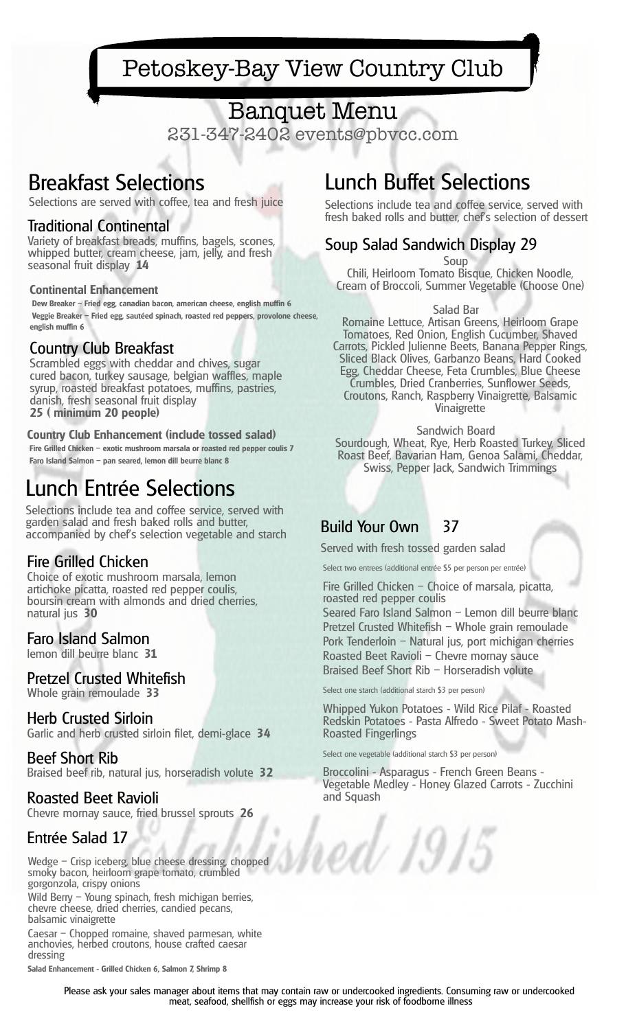# Banquet Menu

231-347-2402 events@pbvcc.com

## Breakfast Selections

Selections are served with coffee, tea and fresh juice

#### Traditional Continental

Variety of breakfast breads, muffins, bagels, scones, whipped butter, cream cheese, jam, jelly, and fresh seasonal fruit display **14**

#### **Continental Enhancement**

**Dew Breaker – Fried egg, canadian bacon, american cheese, english muffin 6 Veggie Breaker – Fried egg, sautéed spinach, roasted red peppers, provolone cheese, english muffin 6**

#### Country Club Breakfast

Scrambled eggs with cheddar and chives, sugar cured bacon, turkey sausage, belgian waffles, maple syrup, roasted breakfast potatoes, muffins, pastries, danish, fresh seasonal fruit display **25 ( minimum 20 people)**

#### **Country Club Enhancement (include tossed salad)**

**Fire Grilled Chicken – exotic mushroom marsala or roasted red pepper coulis 7 Faro Island Salmon – pan seared, lemon dill beurre blanc 8**

# Lunch Entrée Selections

Selections include tea and coffee service, served with garden salad and fresh baked rolls and butter, accompanied by chef's selection vegetable and starch

#### Fire Grilled Chicken

Choice of exotic mushroom marsala, lemon artichoke picatta, roasted red pepper coulis, boursin cream with almonds and dried cherries, natural jus **30**

#### Faro Island Salmon

lemon dill beurre blanc **31**

#### Pretzel Crusted Whitefish

Whole grain remoulade **33**

#### Herb Crusted Sirloin

Garlic and herb crusted sirloin filet, demi-glace **34**

#### Beef Short Rib

Braised beef rib, natural jus, horseradish volute **32**

#### Roasted Beet Ravioli

Chevre mornay sauce, fried brussel sprouts **26**

#### Entrée Salad 17

Wedge – Crisp iceberg, blue cheese dressing, chopped smoky bacon, heirloom grape tomato, crumbled gorgonzola, crispy onions

Wild Berry - Young spinach, fresh michigan berries, chevre cheese, dried cherries, candied pecans, balsamic vinaigrette

Caesar – Chopped romaine, shaved parmesan, white anchovies, herbed croutons, house crafted caesar dressing

**Salad Enhancement - Grilled Chicken 6, Salmon 7, Shrimp 8**

# Lunch Buffet Selections

Selections include tea and coffee service, served with fresh baked rolls and butter, chef's selection of dessert

### Soup Salad Sandwich Display 29

Soup

Chili, Heirloom Tomato Bisque, Chicken Noodle, Cream of Broccoli, Summer Vegetable (Choose One)

#### Salad Bar

Romaine Lettuce, Artisan Greens, Heirloom Grape Tomatoes, Red Onion, English Cucumber, Shaved Carrots, Pickled Julienne Beets, Banana Pepper Rings, Sliced Black Olives, Garbanzo Beans, Hard Cooked Egg, Cheddar Cheese, Feta Crumbles, Blue Cheese Crumbles, Dried Cranberries, Sunflower Seeds, Croutons, Ranch, Raspberry Vinaigrette, Balsamic Vinaigrette

Sandwich Board Sourdough, Wheat, Rye, Herb Roasted Turkey, Sliced Roast Beef, Bavarian Ham, Genoa Salami, Cheddar, Swiss, Pepper Jack, Sandwich Trimmings

#### Build Your Own 37

Served with fresh tossed garden salad

Select two entrees (additional entrée \$5 per person per entrée)

Fire Grilled Chicken – Choice of marsala, picatta, roasted red pepper coulis Seared Faro Island Salmon – Lemon dill beurre blanc Pretzel Crusted Whitefish – Whole grain remoulade Pork Tenderloin – Natural jus, port michigan cherries Roasted Beet Ravioli – Chevre mornay sauce Braised Beef Short Rib – Horseradish volute

Select one starch (additional starch \$3 per person)

Whipped Yukon Potatoes - Wild Rice Pilaf - Roasted Redskin Potatoes - Pasta Alfredo - Sweet Potato Mash-Roasted Fingerlings

Select one vegetable (additional starch \$3 per person)

d 1915

Broccolini - Asparagus - French Green Beans - Vegetable Medley - Honey Glazed Carrots - Zucchini and Squash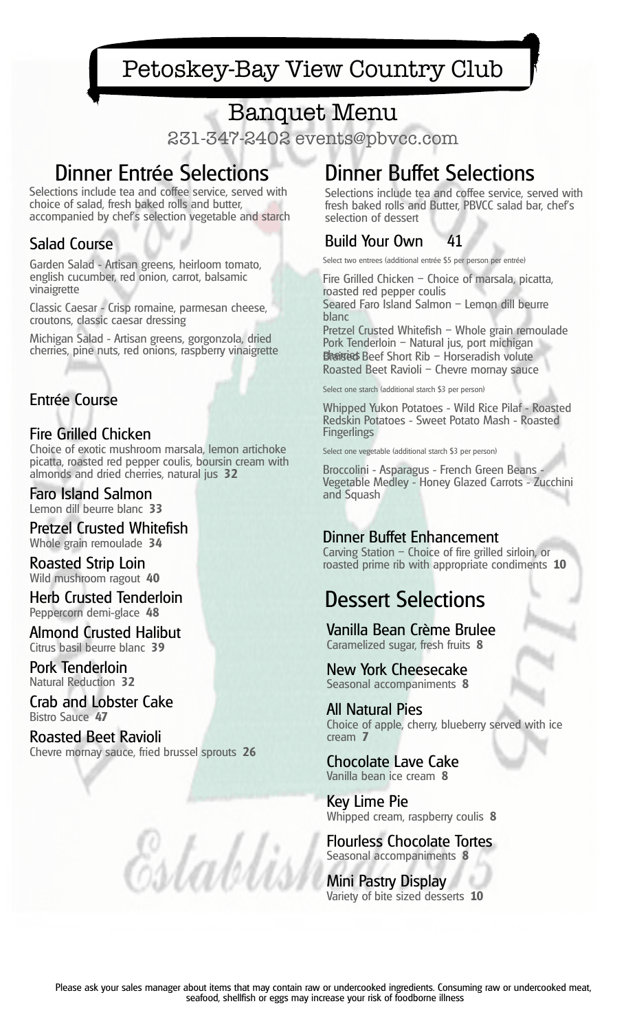# Banquet Menu

231-347-2402 events@pbvcc.com

# Dinner Entrée Selections

Selections include tea and coffee service, served with choice of salad, fresh baked rolls and butter, accompanied by chef's selection vegetable and starch

### Salad Course

Garden Salad - Artisan greens, heirloom tomato, english cucumber, red onion, carrot, balsamic vinaigrette

Classic Caesar - Crisp romaine, parmesan cheese, croutons, classic caesar dressing

Michigan Salad - Artisan greens, gorgonzola, dried cherries, pine nuts, red onions, raspberry vinaigrette

### Entrée Course

### Fire Grilled Chicken

Choice of exotic mushroom marsala, lemon artichoke picatta, roasted red pepper coulis, boursin cream with almonds and dried cherries, natural jus **32**

#### Faro Island Salmon Lemon dill beurre blanc **33**

Pretzel Crusted Whitefish Whole grain remoulade **34**

Roasted Strip Loin Wild mushroom ragout **40**

Herb Crusted Tenderloin Peppercorn demi-glace **48**

Almond Crusted Halibut Citrus basil beurre blanc **39**

Pork Tenderloin Natural Reduction **32**

Crab and Lobster Cake Bistro Sauce **47**

Roasted Beet Ravioli Chevre mornay sauce, fried brussel sprouts **26**

Establist

# Dinner Buffet Selections

Selections include tea and coffee service, served with fresh baked rolls and Butter, PBVCC salad bar, chef's selection of dessert

### Build Your Own 41

Select two entrees (additional entrée \$5 per person per entrée)

Fire Grilled Chicken – Choice of marsala, picatta, roasted red pepper coulis Seared Faro Island Salmon – Lemon dill beurre blanc

Pretzel Crusted Whitefish – Whole grain remoulade Pork Tenderloin – Natural jus, port michigan **Bhairieds** Beef Short Rib – Horseradish volute Roasted Beet Ravioli – Chevre mornay sauce

Select one starch (additional starch \$3 per person)

Whipped Yukon Potatoes - Wild Rice Pilaf - Roasted Redskin Potatoes - Sweet Potato Mash - Roasted **Fingerlings** 

Select one vegetable (additional starch \$3 per person)

Broccolini - Asparagus - French Green Beans - Vegetable Medley - Honey Glazed Carrots - Zucchini and Squash

### Dinner Buffet Enhancement

Carving Station – Choice of fire grilled sirloin, or roasted prime rib with appropriate condiments **10**

# Dessert Selections

Vanilla Bean Crème Brulee Caramelized sugar, fresh fruits **8**

New York Cheesecake Seasonal accompaniments **8**

All Natural Pies Choice of apple, cherry, blueberry served with ice cream **7**

Chocolate Lave Cake Vanilla bean ice cream **8**

Key Lime Pie Whipped cream, raspberry coulis **8**

Flourless Chocolate Tortes Seasonal accompaniments **8**

Mini Pastry Display Variety of bite sized desserts **10**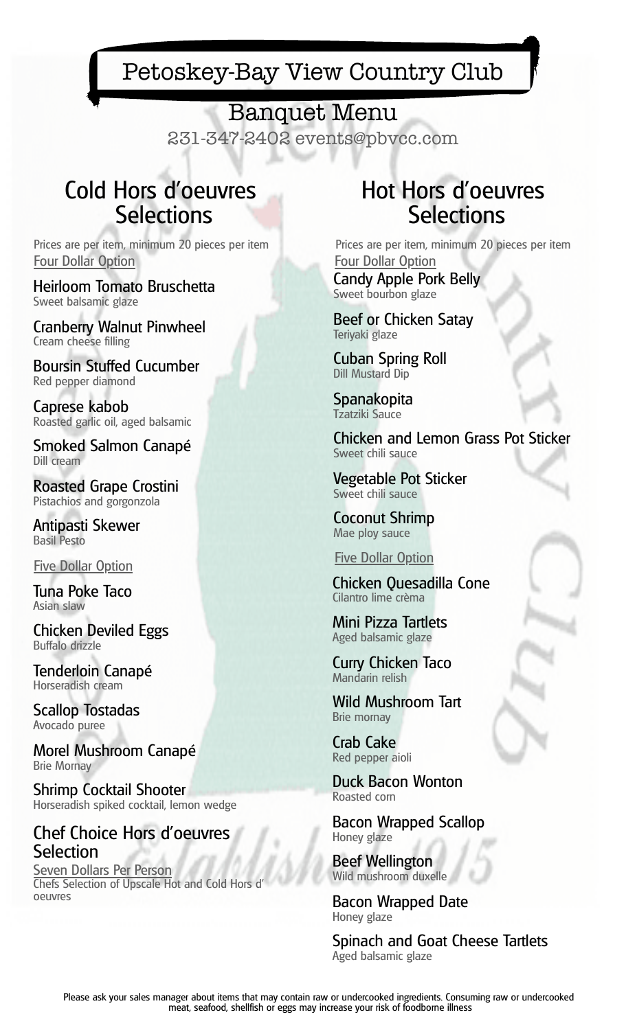## Banquet Menu

231-347-2402 events@pbvcc.com

# Cold Hors d'oeuvres **Selections**

Prices are per item, minimum 20 pieces per item Four Dollar Option

Heirloom Tomato Bruschetta Sweet balsamic glaze

Cranberry Walnut Pinwheel Cream cheese filling

Boursin Stuffed Cucumber Red pepper diamond

Caprese kabob Roasted garlic oil, aged balsamic

Smoked Salmon Canapé Dill cream

Roasted Grape Crostini Pistachios and gorgonzola

Antipasti Skewer Basil Pesto

Five Dollar Option

Tuna Poke Taco Asian slaw

Chicken Deviled Eggs Buffalo drizzle

Tenderloin Canapé Horseradish cream

Scallop Tostadas Avocado puree

Morel Mushroom Canapé Brie Mornay

Shrimp Cocktail Shooter Horseradish spiked cocktail, lemon wedge

### Chef Choice Hors d'oeuvres **Selection**

Seven Dollars Per Person Chefs Selection of Upscale Hot and Cold Hors d' oeuvres

# Hot Hors d'oeuvres **Selections**

Prices are per item, minimum 20 pieces per item Four Dollar Option

Candy Apple Pork Belly Sweet bourbon glaze

Beef or Chicken Satay Teriyaki glaze

Cuban Spring Roll Dill Mustard Dip

Spanakopita Tzatziki Sauce

Chicken and Lemon Grass Pot Sticker Sweet chili sauce

Vegetable Pot Sticker Sweet chili sauce

Coconut Shrimp Mae ploy sauce

Five Dollar Option

Chicken Quesadilla Cone Cilantro lime crèma

Mini Pizza Tartlets Aged balsamic glaze

Curry Chicken Taco Mandarin relish

Wild Mushroom Tart Brie mornay

Crab Cake Red pepper aioli

Duck Bacon Wonton Roasted corn

Bacon Wrapped Scallop Honey glaze

Beef Wellington Wild mushroom duxelle

Bacon Wrapped Date Honey glaze

Spinach and Goat Cheese Tartlets Aged balsamic glaze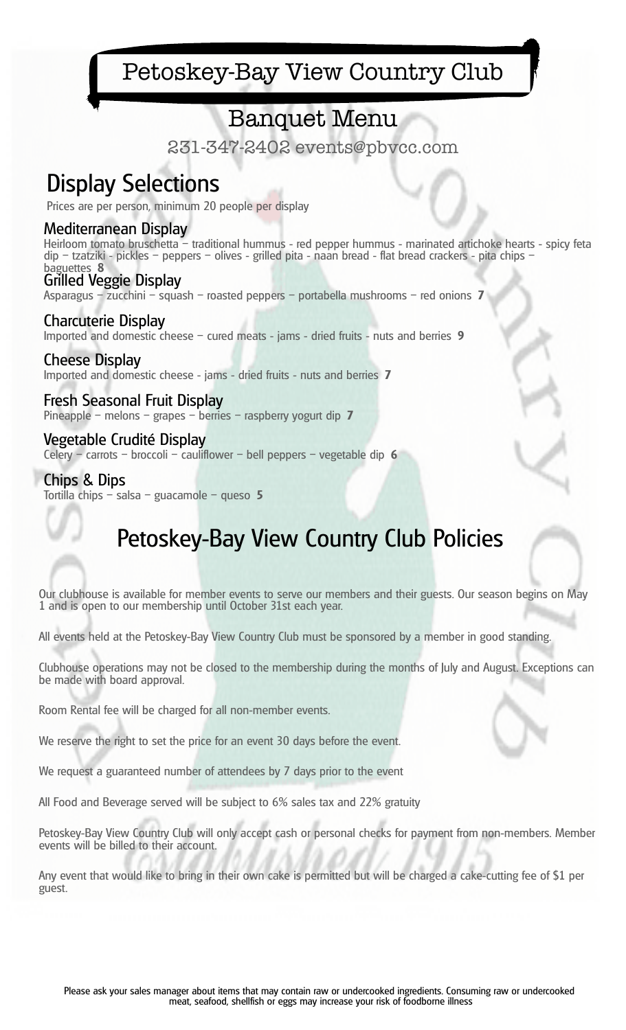## Banquet Menu

231-347-2402 events@pbvcc.com

# Display Selections

Prices are per person, minimum 20 people per display

#### Mediterranean Display

Heirloom tomato bruschetta – traditional hummus - red pepper hummus - marinated artichoke hearts - spicy feta dip – tzatziki - pickles – peppers – olives - grilled pita - naan bread - flat bread crackers - pita chips – baguettes **8**

Grilled Veggie Display Asparagus – zucchini – squash – roasted peppers – portabella mushrooms – red onions **7**

Charcuterie Display Imported and domestic cheese – cured meats - jams - dried fruits - nuts and berries **9**

Cheese Display Imported and domestic cheese - jams - dried fruits - nuts and berries **7**

Fresh Seasonal Fruit Display Pineapple – melons – grapes – berries – raspberry yogurt dip **7**

Vegetable Crudité Display Celery – carrots – broccoli – cauliflower – bell peppers – vegetable dip **6**

Chips & Dips Tortilla chips – salsa – guacamole – queso **5**

# Petoskey-Bay View Country Club Policies

Our clubhouse is available for member events to serve our members and their guests. Our season begins on May 1 and is open to our membership until October 31st each year.

All events held at the Petoskey-Bay View Country Club must be sponsored by a member in good standing.

Clubhouse operations may not be closed to the membership during the months of July and August. Exceptions can be made with board approval.

Room Rental fee will be charged for all non-member events.

We reserve the right to set the price for an event 30 days before the event.

We request a guaranteed number of attendees by 7 days prior to the event

All Food and Beverage served will be subject to 6% sales tax and 22% gratuity

Petoskey-Bay View Country Club will only accept cash or personal checks for payment from non-members. Member events will be billed to their account.

Any event that would like to bring in their own cake is permitted but will be charged a cake-cutting fee of \$1 per guest.